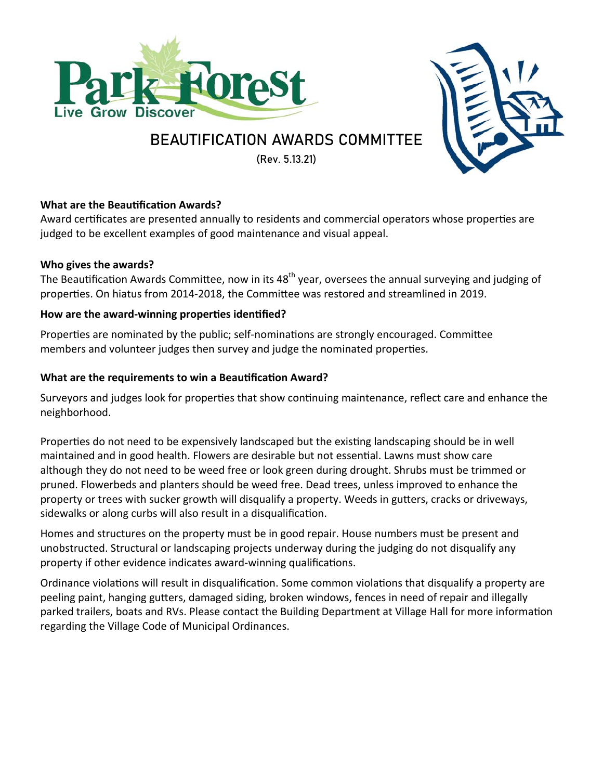



# BEAUTIFICATION AWARDS COMMITTEE

(Rev. 5.13.21)

# **What are the Beautification Awards?**

Award certificates are presented annually to residents and commercial operators whose properties are judged to be excellent examples of good maintenance and visual appeal.

# **Who gives the awards?**

The Beautification Awards Committee, now in its 48<sup>th</sup> year, oversees the annual surveying and judging of properties. On hiatus from 2014-2018, the Committee was restored and streamlined in 2019.

# How are the award-winning properties identified?

Properties are nominated by the public; self-nominations are strongly encouraged. Committee members and volunteer judges then survey and judge the nominated properties.

# What are the requirements to win a Beautification Award?

Surveyors and judges look for properties that show continuing maintenance, reflect care and enhance the neighborhood.

Properties do not need to be expensively landscaped but the existing landscaping should be in well maintained and in good health. Flowers are desirable but not essential. Lawns must show care although they do not need to be weed free or look green during drought. Shrubs must be trimmed or pruned. Flowerbeds and planters should be weed free. Dead trees, unless improved to enhance the property or trees with sucker growth will disqualify a property. Weeds in gutters, cracks or driveways, sidewalks or along curbs will also result in a disqualification.

Homes and structures on the property must be in good repair. House numbers must be present and unobstructed. Structural or landscaping projects underway during the judging do not disqualify any property if other evidence indicates award-winning qualifications.

Ordinance violations will result in disqualification. Some common violations that disqualify a property are peeling paint, hanging gutters, damaged siding, broken windows, fences in need of repair and illegally parked trailers, boats and RVs. Please contact the Building Department at Village Hall for more information regarding the Village Code of Municipal Ordinances.